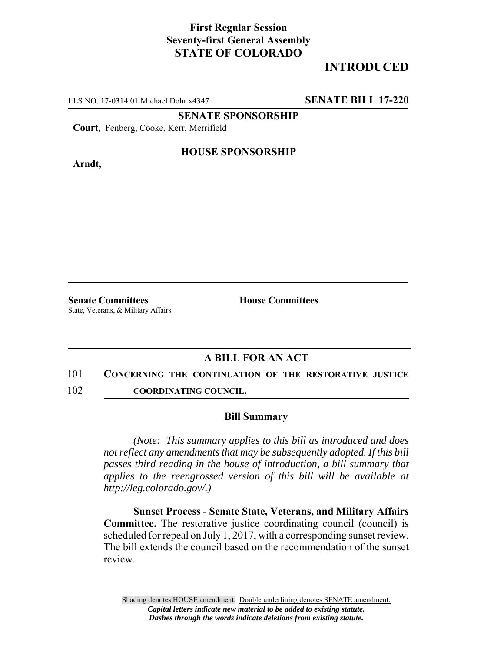## **First Regular Session Seventy-first General Assembly STATE OF COLORADO**

# **INTRODUCED**

LLS NO. 17-0314.01 Michael Dohr x4347 **SENATE BILL 17-220**

**SENATE SPONSORSHIP**

**Court,** Fenberg, Cooke, Kerr, Merrifield

**Arndt,**

### **HOUSE SPONSORSHIP**

**Senate Committees House Committees** State, Veterans, & Military Affairs

## **A BILL FOR AN ACT**

#### 101 **CONCERNING THE CONTINUATION OF THE RESTORATIVE JUSTICE**

102 **COORDINATING COUNCIL.**

#### **Bill Summary**

*(Note: This summary applies to this bill as introduced and does not reflect any amendments that may be subsequently adopted. If this bill passes third reading in the house of introduction, a bill summary that applies to the reengrossed version of this bill will be available at http://leg.colorado.gov/.)*

**Sunset Process - Senate State, Veterans, and Military Affairs Committee.** The restorative justice coordinating council (council) is scheduled for repeal on July 1, 2017, with a corresponding sunset review. The bill extends the council based on the recommendation of the sunset review.

Shading denotes HOUSE amendment. Double underlining denotes SENATE amendment. *Capital letters indicate new material to be added to existing statute. Dashes through the words indicate deletions from existing statute.*